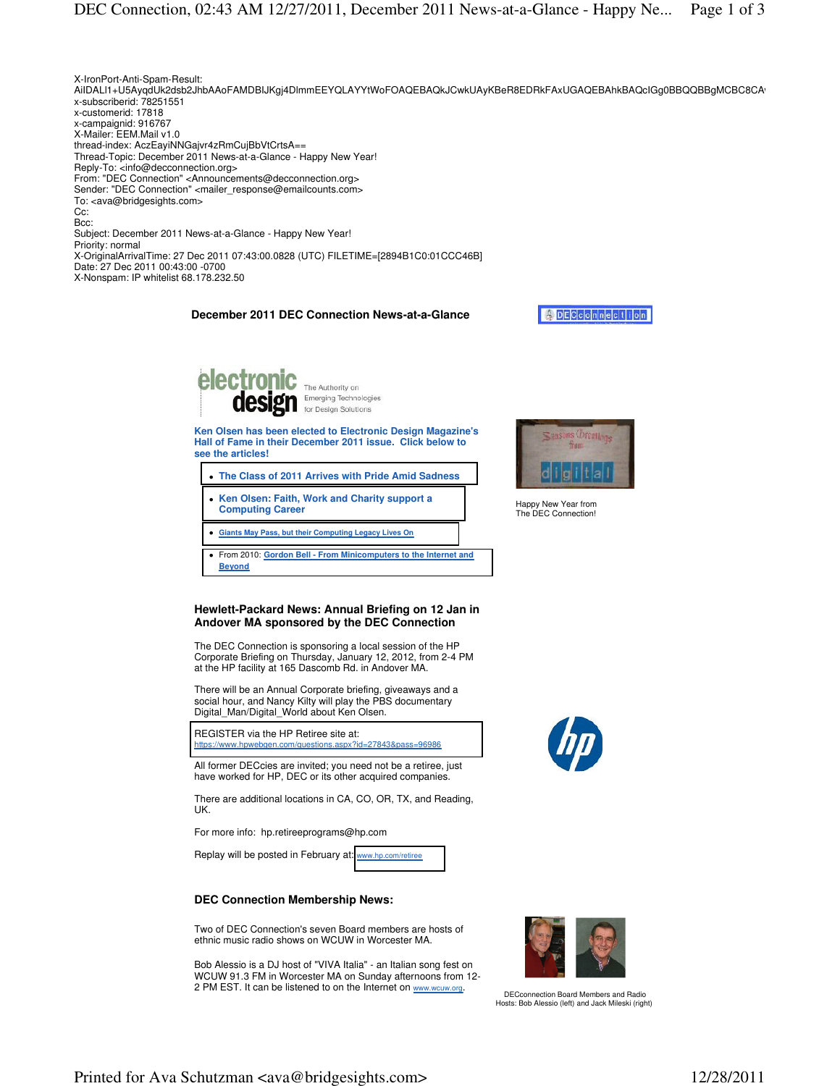

The Authority on Emerging Technologies

**Ken Olsen has been elected to Electronic Design Magazine's Hall of Fame in their December 2011 issue. Click below to see the articles!** 

- **[The Class of 2011 Arrives with Pride Amid Sadness](http://electronicdesign.com/departments/halloffame.aspx)**
- **[Ken Olsen: Faith, Work and Charity support a](http://electronicdesign.com/article/embedded/Ken-Olsen-Faith-Work-And-Charity-Support-A-Computing-Career.aspx)  Computing Career**
- **[Giants May Pass, but their Computing Legacy Lives On](http://electronicdesign.com/article/embedded/Giants-May-Pass-But-Their-Computing-Legacy-Lives-On.aspx)**
- From 2010: **[Gordon Bell From Minicomputers to the Internet and](http://electronicdesign.com/article/digital/Gordon-Bell-From-Minicomputers-To-The-Internet-And-Beyond.aspx)  Beyond**

### **Hewlett-Packard News: Annual Briefing on 12 Jan in Andover MA sponsored by the DEC Connection**

The DEC Connection is sponsoring a local session of the HP Corporate Briefing on Thursday, January 12, 2012, from 2-4 PM at the HP facility at 165 Dascomb Rd. in Andover MA.

There will be an Annual Corporate briefing, giveaways and a social hour, and Nancy Kilty will play the PBS documentary Digital Man/Digital World about Ken Olsen.

REGISTER via the HP Retiree site at: <https://www.hpwebgen.com/questions.aspx?id=27843&pass=96986>

All former DECcies are invited; you need not be a retiree, just have worked for HP, DEC or its other acquired companies.

There are additional locations in CA, CO, OR, TX, and Reading, UK.

For more info: hp.retireeprograms@hp.com

Replay will be posted in February at: [www.hp.com/retiree](http://www.hp.com/retiree)

## **DEC Connection Membership News:**

Two of DEC Connection's seven Board members are hosts of ethnic music radio shows on WCUW in Worcester MA.

Bob Alessio is a DJ host of "VIVA Italia" - an Italian song fest on WCUW 91.3 FM in Worcester MA on Sunday afternoons from 12- 2 PM EST. It can be listened to on the Internet on www.wcuw.org.



Happy New Year from The DEC Connection!





DECconnection Board Members and Radio Hosts: Bob Alessio (left) and Jack Mileski (right)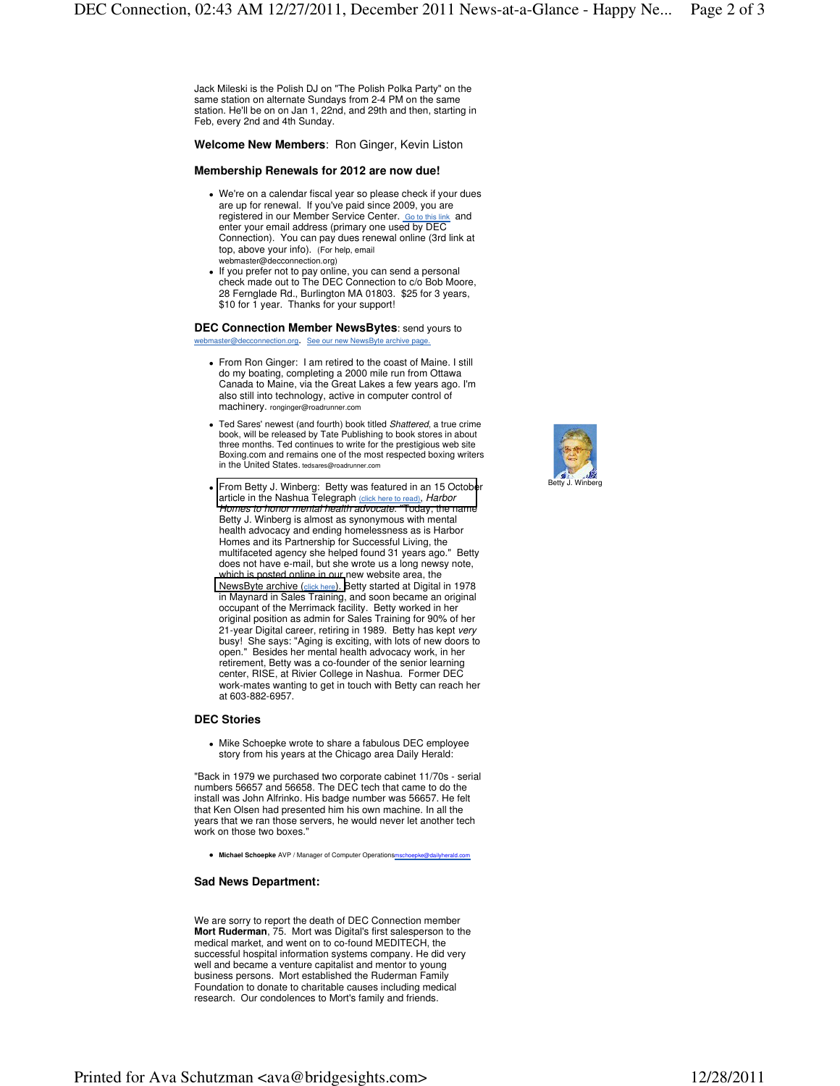Jack Mileski is the Polish DJ on "The Polish Polka Party" on the same station on alternate Sundays from 2-4 PM on the same station. He'll be on on Jan 1, 22nd, and 29th and then, starting in Feb, every 2nd and 4th Sunday.

**Welcome New Members**: Ron Ginger, Kevin Liston

### **Membership Renewals for 2012 are now due!**

- We're on a calendar fiscal year so please check if your dues are up for renewal. If you've paid since 2009, you are registered in our Member Service Center. Go to this link and enter your email address (primary one used by DEC Connection). You can pay dues renewal online (3rd link at top, above your info). (For help, email webmaster@decconnection.org)
- If you prefer not to pay online, you can send a personal check made out to The DEC Connection to c/o Bob Moore, 28 Fernglade Rd., Burlington MA 01803. \$25 for 3 years, \$10 for 1 year. Thanks for your support!

**DEC Connection Member NewsBytes**: send yours to webmaster@decconnection.org. See our new NewsByte archive page.

- From Ron Ginger: I am retired to the coast of Maine. I still do my boating, completing a 2000 mile run from Ottawa Canada to Maine, via the Great Lakes a few years ago. I'm also still into technology, active in computer control of machinery. ronginger@roadrunner.com
- Ted Sares' newest (and fourth) book titled Shattered, a true crime book, will be released by Tate Publishing to book stores in about three months. Ted continues to write for the prestigious web site Boxing.com and remains one of the most respected boxing writers in the United States. tedsares@roadrunner.com
- [From Betty J. Winberg: Betty was featured in an 15 Octobe](http://www.nashuatelegraph.com/news/936198-196/harbor-homes-to-honor-mental-health-advocate.html)r article in the Nashua Telegraph (click here to read), Harbor Homes to honor mental health advocate. "Today, the name Betty J. Winberg is almost as synonymous with mental health advocacy and ending homelessness as is Harbor Homes and its Partnership for Successful Living, the multifaceted agency she helped found 31 years ago." Betty does not have e-mail, but she wrote us a long newsy note, which is posted online in our new website area, the [NewsByte archive \(](http://www.decconnection.org/newsbytes.htm)click here). Betty started at Digital in 1978 in Maynard in Sales Training, and soon became an original occupant of the Merrimack facility. Betty worked in her original position as admin for Sales Training for 90% of her 21-year Digital career, retiring in 1989. Betty has kept very busy! She says: "Aging is exciting, with lots of new doors to open." Besides her mental health advocacy work, in her retirement, Betty was a co-founder of the senior learning center, RISE, at Rivier College in Nashua. Former DEC work-mates wanting to get in touch with Betty can reach her at 603-882-6957.

# **DEC Stories**

 Mike Schoepke wrote to share a fabulous DEC employee story from his years at the Chicago area Daily Herald:

"Back in 1979 we purchased two corporate cabinet 11/70s - serial numbers 56657 and 56658. The DEC tech that came to do the install was John Alfrinko. His badge number was 56657. He felt that Ken Olsen had presented him his own machine. In all the years that we ran those servers, he would never let another tech work on those two boxes."

**Michael Schoepke** AVP / Manager of Computer Operationsmschoepke@dailyherald.com

### **Sad News Department:**

We are sorry to report the death of DEC Connection member **Mort Ruderman**, 75. Mort was Digital's first salesperson to the medical market, and went on to co-found MEDITECH, the successful hospital information systems company. He did very well and became a venture capitalist and mentor to young business persons. Mort established the Ruderman Family Foundation to donate to charitable causes including medical research. Our condolences to Mort's family and friends.